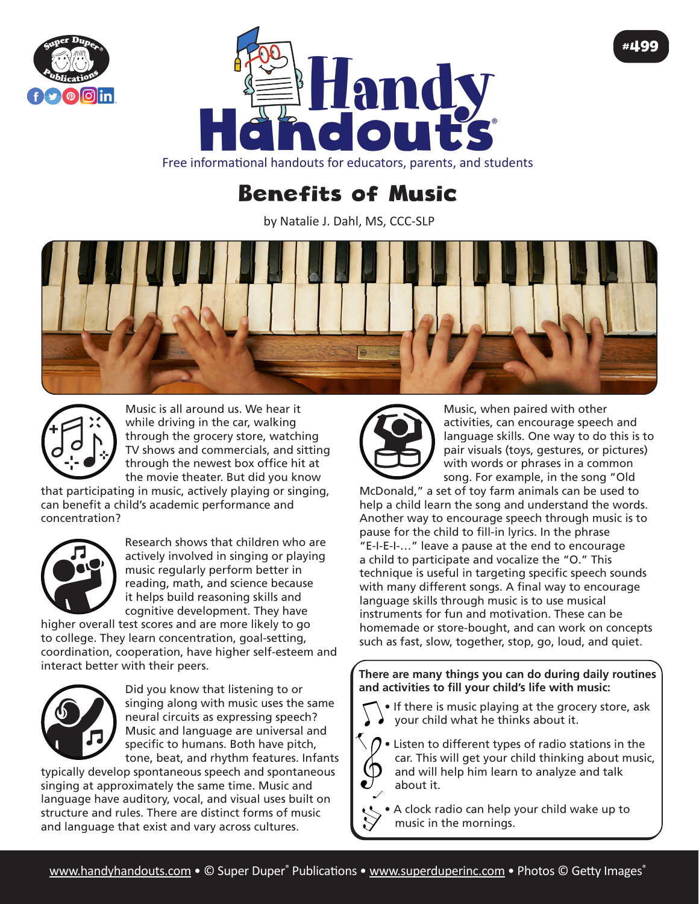



Free informational handouts for educators, parents, and students

## Benefits of Music

by Natalie J. Dahl, MS, CCC-SLP





Music is all around us. We hear it while driving in the car, walking through the grocery store, watching TV shows and commercials, and sitting through the newest box office hit at the movie theater. But did you know

that participating in music, actively playing or singing, can benefit a child's academic performance and concentration?



Research shows that children who are actively involved in singing or playing music regularly perform better in reading, math, and science because it helps build reasoning skills and cognitive development. They have

higher overall test scores and are more likely to go to college. They learn concentration, goal-setting, coordination, cooperation, have higher self-esteem and interact better with their peers.



Did you know that listening to or singing along with music uses the same neural circuits as expressing speech? Music and language are universal and specific to humans. Both have pitch, tone, beat, and rhythm features. Infants

typically develop spontaneous speech and spontaneous singing at approximately the same time. Music and language have auditory, vocal, and visual uses built on structure and rules. There are distinct forms of music and language that exist and vary across cultures.



Music, when paired with other activities, can encourage speech and language skills. One way to do this is to pair visuals (toys, gestures, or pictures) with words or phrases in a common song. For example, in the song "Old

#499

McDonald," a set of toy farm animals can be used to help a child learn the song and understand the words. Another way to encourage speech through music is to pause for the child to fill-in lyrics. In the phrase "E-I-E-I-…" leave a pause at the end to encourage a child to participate and vocalize the "O." This technique is useful in targeting specific speech sounds with many different songs. A final way to encourage language skills through music is to use musical instruments for fun and motivation. These can be homemade or store-bought, and can work on concepts such as fast, slow, together, stop, go, loud, and quiet.

**There are many things you can do during daily routines and activities to fill your child's life with music:**

- If there is music playing at the grocery store, ask your child what he thinks about it.
- Listen to different types of radio stations in the car. This will get your child thinking about music, and will help him learn to analyze and talk about it.

• A clock radio can help your child wake up to music in the mornings.